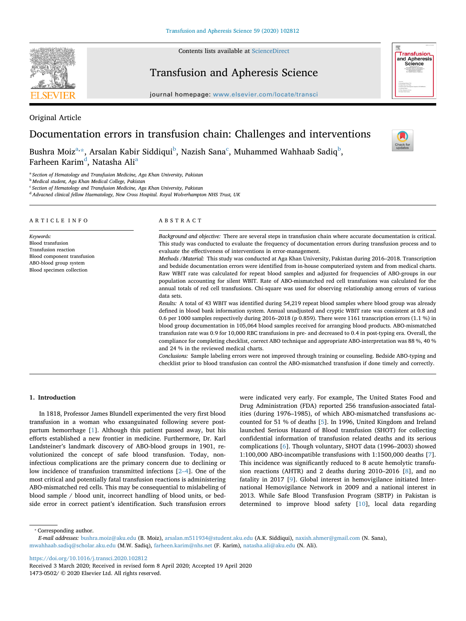Contents lists available at [ScienceDirect](http://www.sciencedirect.com/science/journal/14730502)



## Transfusion and Apheresis Science

journal homepage: [www.elsevier.com/locate/transci](https://www.elsevier.com/locate/transci)



## Original Article

# Documentation errors in transfusion chain: Challenges and interventions

Bushr[a](#page-0-0) Moiz $\mathrm{a}$ [\\*,](#page-0-1) Arsalan Ka[b](#page-0-2)ir Siddiqui $\mathrm{^{b}}$ , Nazish Sana $\mathrm{^{c}}$  $\mathrm{^{c}}$  $\mathrm{^{c}}$ , Muhammed Wahhaab Sadiq $\mathrm{^{b}}$ , F[a](#page-0-0)rheen Karim<sup>d</sup>, Natasha Ali<sup>a</sup>

 $\frac{N}{2}$ 

<span id="page-0-0"></span><sup>a</sup> *Section of Hematology and Transfusion Medicine, Aga Khan University, Pakistan*

<span id="page-0-2"></span><sup>b</sup> *Medical student, Aga Khan Medical College, Pakistan*

<span id="page-0-3"></span><sup>c</sup> *Section of Hematology and Transfusion Medicine, Aga Khan University, Pakistan*

<span id="page-0-4"></span><sup>d</sup> *Advacned clinical fellow Haematology, New Cross Hospital. Royal Wolverhampton NHS Trust, UK*

| ARTICLE INFO                                                                                                                                        | ABSTRACT                                                                                                                                                                                                                                                                                                                                                                                                                                                                                                                                                                                                                                                                                                                                                                                                                                                                                                                                                                                                                                                                                                                                                                                                                                                                                                                                                                                                                                                                                                                                                                                                                                                                                                                                                                                                                                                                   |
|-----------------------------------------------------------------------------------------------------------------------------------------------------|----------------------------------------------------------------------------------------------------------------------------------------------------------------------------------------------------------------------------------------------------------------------------------------------------------------------------------------------------------------------------------------------------------------------------------------------------------------------------------------------------------------------------------------------------------------------------------------------------------------------------------------------------------------------------------------------------------------------------------------------------------------------------------------------------------------------------------------------------------------------------------------------------------------------------------------------------------------------------------------------------------------------------------------------------------------------------------------------------------------------------------------------------------------------------------------------------------------------------------------------------------------------------------------------------------------------------------------------------------------------------------------------------------------------------------------------------------------------------------------------------------------------------------------------------------------------------------------------------------------------------------------------------------------------------------------------------------------------------------------------------------------------------------------------------------------------------------------------------------------------------|
| Keywords:<br><b>Blood</b> transfusion<br>Transfusion reaction<br>Blood component transfusion<br>ABO-blood group system<br>Blood specimen collection | Background and objective: There are several steps in transfusion chain where accurate documentation is critical.<br>This study was conducted to evaluate the frequency of documentation errors during transfusion process and to<br>evaluate the effectiveness of interventions in error-management.<br>Methods /Material: This study was conducted at Aga Khan University, Pakistan during 2016–2018. Transcription<br>and bedside documentation errors were identified from in-house computerized system and from medical charts.<br>Raw WBIT rate was calculated for repeat blood samples and adjusted for frequencies of ABO-groups in our<br>population accounting for silent WBIT. Rate of ABO-mismatched red cell transfusions was calculated for the<br>annual totals of red cell transfusions. Chi-square was used for observing relationship among errors of various<br>data sets.<br>Results: A total of 43 WBIT was identified during 54,219 repeat blood samples where blood group was already<br>defined in blood bank information system. Annual unadjusted and cryptic WBIT rate was consistent at 0.8 and<br>0.6 per 1000 samples respectively during 2016–2018 (p 0.859). There were 1161 transcription errors (1.1 %) in<br>blood group documentation in 105,064 blood samples received for arranging blood products. ABO-mismatched<br>transfusion rate was 0.9 for 10,000 RBC transfusions in pre- and decreased to 0.4 in post-typing era. Overall, the<br>compliance for completing checklist, correct ABO technique and appropriate ABO-interpretation was 88 %, 40 %<br>and 24 % in the reviewed medical charts.<br>Conclusions: Sample labeling errors were not improved through training or counseling. Bedside ABO-typing and<br>checklist prior to blood transfusion can control the ABO-mismatched transfusion if done timely and correctly. |

#### **1. Introduction**

In 1818, Professor James Blundell experimented the very first blood transfusion in a woman who exsanguinated following severe postpartum hemorrhage [[1](#page-4-0)]. Although this patient passed away, but his efforts established a new frontier in medicine. Furthermore, Dr. Karl Landsteiner's landmark discovery of ABO-blood groups in 1901, revolutionized the concept of safe blood transfusion. Today, noninfectious complications are the primary concern due to declining or low incidence of transfusion transmitted infections [[2–4\]](#page-4-1). One of the most critical and potentially fatal transfusion reactions is administering ABO-mismatched red cells. This may be consequential to mislabeling of blood sample / blood unit, incorrect handling of blood units, or bedside error in correct patient's identification. Such transfusion errors

were indicated very early. For example, The United States Food and Drug Administration (FDA) reported 256 transfusion-associated fatalities (during 1976–1985), of which ABO-mismatched transfusions accounted for 51 % of deaths [\[5\]](#page-4-2). In 1996, United Kingdom and Ireland launched Serious Hazard of Blood transfusion (SHOT) for collecting confidential information of transfusion related deaths and its serious complications [\[6\]](#page-4-3). Though voluntary, SHOT data (1996–2003) showed 1:100,000 ABO-incompatible transfusions with 1:1500,000 deaths [[7](#page-4-4)]. This incidence was significantly reduced to 8 acute hemolytic transfusion reactions (AHTR) and 2 deaths during 2010–2016 [[8](#page-4-5)], and no fatality in 2017 [\[9\]](#page-4-6). Global interest in hemovigilance initiated International Hemovigilance Network in 2009 and a national interest in 2013. While Safe Blood Transfusion Program (SBTP) in Pakistan is determined to improve blood safety [\[10](#page-4-7)], local data regarding

<span id="page-0-1"></span>⁎ Corresponding author.

<https://doi.org/10.1016/j.transci.2020.102812>

*E-mail addresses:* [bushra.moiz@aku.edu](mailto:bushra.moiz@aku.edu) (B. Moiz), [arsalan.m511934@student.aku.edu](mailto:arsalan.m511934@student.aku.edu) (A.K. Siddiqui), [naxish.ahmer@gmail.com](mailto:naxish.ahmer@gmail.com) (N. Sana), [mwahhaab.sadiq@scholar.aku.edu](mailto:mwahhaab.sadiq@scholar.aku.edu) (M.W. Sadiq), [farheen.karim@nhs.net](mailto:farheen.karim@nhs.net) (F. Karim), [natasha.ali@aku.edu](mailto:natasha.ali@aku.edu) (N. Ali).

Received 3 March 2020; Received in revised form 8 April 2020; Accepted 19 April 2020 1473-0502/ © 2020 Elsevier Ltd. All rights reserved.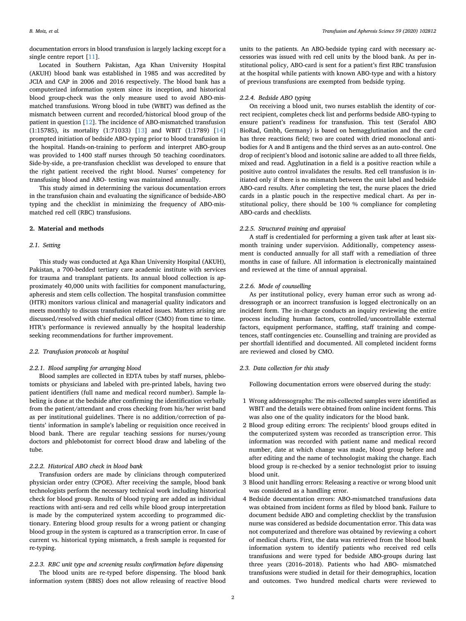documentation errors in blood transfusion is largely lacking except for a single centre report [\[11\]](#page-4-8).

Located in Southern Pakistan, Aga Khan University Hospital (AKUH) blood bank was established in 1985 and was accredited by JCIA and CAP in 2006 and 2016 respectively. The blood bank has a computerized information system since its inception, and historical blood group-check was the only measure used to avoid ABO-mismatched transfusions. Wrong blood in tube (WBIT) was defined as the mismatch between current and recorded/historical blood group of the patient in question [\[12](#page-4-9)]. The incidence of ABO-mismatched transfusion (1:15785), its mortality (1:71033) [[13\]](#page-4-10) and WBIT (1:1789) [\[14](#page-4-11)] prompted initiation of bedside ABO-typing prior to blood transfusion in the hospital. Hands-on-training to perform and interpret ABO-group was provided to 1400 staff nurses through 50 teaching coordinators. Side-by-side, a pre-transfusion checklist was developed to ensure that the right patient received the right blood. Nurses' competency for transfusing blood and ABO- testing was maintained annually.

This study aimed in determining the various documentation errors in the transfusion chain and evaluating the significance of bedside-ABO typing and the checklist in minimizing the frequency of ABO-mismatched red cell (RBC) transfusions.

#### **2. Material and methods**

### *2.1. Setting*

This study was conducted at Aga Khan University Hospital (AKUH), Pakistan, a 700-bedded tertiary care academic institute with services for trauma and transplant patients. Its annual blood collection is approximately 40,000 units with facilities for component manufacturing, apheresis and stem cells collection. The hospital transfusion committee (HTR) monitors various clinical and managerial quality indicators and meets monthly to discuss transfusion related issues. Matters arising are discussed/resolved with chief medical officer (CMO) from time to time. HTR's performance is reviewed annually by the hospital leadership seeking recommendations for further improvement.

#### *2.2. Transfusion protocols at hospital*

#### *2.2.1. Blood sampling for arranging blood*

Blood samples are collected in EDTA tubes by staff nurses, phlebotomists or physicians and labeled with pre-printed labels, having two patient identifiers (full name and medical record number). Sample labeling is done at the bedside after confirming the identification verbally from the patient/attendant and cross checking from his/her wrist band as per institutional guidelines. There is no addition/correction of patients' information in sample's labeling or requisition once received in blood bank. There are regular teaching sessions for nurses/young doctors and phlebotomist for correct blood draw and labeling of the tube.

## *2.2.2. Historical ABO check in blood bank*

Transfusion orders are made by clinicians through computerized physician order entry (CPOE). After receiving the sample, blood bank technologists perform the necessary technical work including historical check for blood group. Results of blood typing are added as individual reactions with anti-sera and red cells while blood group interpretation is made by the computerized system according to programmed dictionary. Entering blood group results for a wrong patient or changing blood group in the system is captured as a transcription error. In case of current vs. historical typing mismatch, a fresh sample is requested for re-typing.

## *2.2.3. RBC unit type and screening results confirmation before dispensing*

The blood units are re-typed before dispensing. The blood bank information system (BBIS) does not allow releasing of reactive blood units to the patients. An ABO-bedside typing card with necessary accessories was issued with red cell units by the blood bank. As per institutional policy, ABO-card is sent for a patient's first RBC transfusion at the hospital while patients with known ABO-type and with a history of previous transfusions are exempted from bedside typing.

#### *2.2.4. Bedside ABO typing*

On receiving a blood unit, two nurses establish the identity of correct recipient, completes check list and performs bedside ABO-typing to ensure patient's readiness for transfusion. This test (Serafol ABO BioRad, Gmbh, Germany) is based on hemagglutination and the card has three reactions field; two are coated with dried monoclonal antibodies for A and B antigens and the third serves as an auto-control. One drop of recipient's blood and isotonic saline are added to all three fields, mixed and read. Agglutination in a field is a positive reaction while a positive auto control invalidates the results. Red cell transfusion is initiated only if there is no mismatch between the unit label and bedside ABO-card results. After completing the test, the nurse places the dried cards in a plastic pouch in the respective medical chart. As per institutional policy, there should be 100 % compliance for completing ABO-cards and checklists.

#### *2.2.5. Structured training and appraisal*

A staff is credentialed for performing a given task after at least sixmonth training under supervision. Additionally, competency assessment is conducted annually for all staff with a remediation of three months in case of failure. All information is electronically maintained and reviewed at the time of annual appraisal.

#### *2.2.6. Mode of counselling*

As per institutional policy, every human error such as wrong addressograph or an incorrect transfusion is logged electronically on an incident form. The in-charge conducts an inquiry reviewing the entire process including human factors, controlled/uncontrollable external factors, equipment performance, staffing, staff training and competences, staff contingencies etc. Counselling and training are provided as per shortfall identified and documented. All completed incident forms are reviewed and closed by CMO.

#### *2.3. Data collection for this study*

Following documentation errors were observed during the study:

- 1 Wrong addressographs: The mis-collected samples were identified as WBIT and the details were obtained from online incident forms. This was also one of the quality indicators for the blood bank.
- 2 Blood group editing errors: The recipients' blood groups edited in the computerized system was recorded as transcription error. This information was recorded with patient name and medical record number, date at which change was made, blood group before and after editing and the name of technologist making the change. Each blood group is re-checked by a senior technologist prior to issuing blood unit.
- 3 Blood unit handling errors: Releasing a reactive or wrong blood unit was considered as a handling error.
- 4 Bedside documentation errors: ABO-mismatched transfusions data was obtained from incident forms as filed by blood bank. Failure to document bedside ABO and completing checklist by the transfusion nurse was considered as bedside documentation error. This data was not computerized and therefore was obtained by reviewing a cohort of medical charts. First, the data was retrieved from the blood bank information system to identify patients who received red cells transfusions and were typed for bedside ABO-groups during last three years (2016–2018). Patients who had ABO- mismatched transfusions were studied in detail for their demographics, location and outcomes. Two hundred medical charts were reviewed to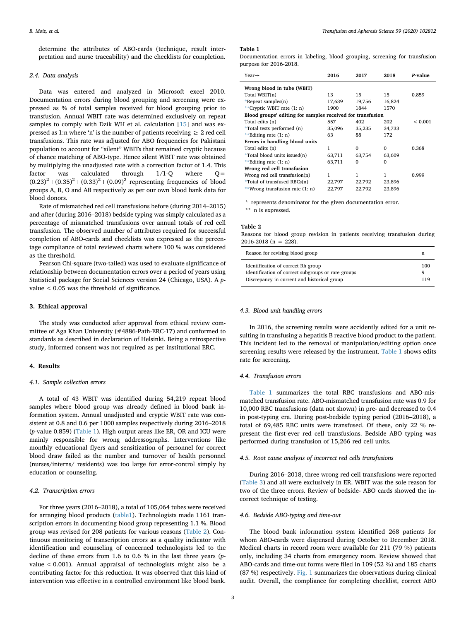determine the attributes of ABO-cards (technique, result interpretation and nurse traceability) and the checklists for completion.

#### *2.4. Data analysis*

Data was entered and analyzed in Microsoft excel 2010. Documentation errors during blood grouping and screening were expressed as % of total samples received for blood grouping prior to transfusion. Annual WBIT rate was determined exclusively on repeat samples to comply with Dzik WH et al. calculation [[15\]](#page-4-12) and was expressed as 1:n where 'n' is the number of patients receiving  $\geq 2$  red cell transfusions. This rate was adjusted for ABO frequencies for Pakistani population to account for "silent" WBITs that remained cryptic because of chance matching of ABO-type. Hence silent WBIT rate was obtained by multiplying the unadjusted rate with a correction factor of 1.4. This factor was calculated through 1/1-Q where Q=  $(0.23)^{2} + (0.35)^{2} + (0.33)^{2} + (0.09)^{2}$  representing frequencies of blood groups A, B, O and AB respectively as per our own blood bank data for blood donors.

Rate of mismatched red cell transfusions before (during 2014–2015) and after (during 2016–2018) bedside typing was simply calculated as a percentage of mismatched transfusions over annual totals of red cell transfusion. The observed number of attributes required for successful completion of ABO-cards and checklists was expressed as the percentage compliance of total reviewed charts where 100 % was considered as the threshold.

Pearson Chi-square (two-tailed) was used to evaluate significance of relationship between documentation errors over a period of years using Statistical package for Social Sciences version 24 (Chicago, USA). A *p*value < 0.05 was the threshold of significance.

#### **3. Ethical approval**

The study was conducted after approval from ethical review committee of Aga Khan University (#4886-Path-ERC-17) and conformed to standards as described in declaration of Helsinki. Being a retrospective study, informed consent was not required as per institutional ERC.

#### **4. Results**

#### *4.1. Sample collection errors*

A total of 43 WBIT was identified during 54,219 repeat blood samples where blood group was already defined in blood bank information system. Annual unadjusted and cryptic WBIT rate was consistent at 0.8 and 0.6 per 1000 samples respectively during 2016–2018 (*p-*value 0.859) [\(Table 1\)](#page-2-0). High output areas like ER, OR and ICU were mainly responsible for wrong addressographs. Interventions like monthly educational flyers and sensitization of personnel for correct blood draw failed as the number and turnover of health personnel (nurses/interns/ residents) was too large for error-control simply by education or counseling.

#### *4.2. Transcription errors*

For three years (2016–2018), a total of 105,064 tubes were received for arranging blood products [\(table1](#page-2-0)). Technologists made 1161 transcription errors in documenting blood group representing 1.1 %. Blood group was revised for 208 patients for various reasons ([Table 2](#page-2-1)). Continuous monitoring of transcription errors as a quality indicator with identification and counseling of concerned technologists led to the decline of these errors from 1.6 to 0.6 % in the last three years (*p*value < 0.001). Annual appraisal of technologists might also be a contributing factor for this reduction. It was observed that this kind of intervention was effective in a controlled environment like blood bank.

#### <span id="page-2-0"></span>**Table 1**

Documentation errors in labeling, blood grouping, screening for transfusion purpose for 2016-2018.

| $Year \rightarrow$                                         | 2016   | 2017     | 2018     | P-value      |
|------------------------------------------------------------|--------|----------|----------|--------------|
| Wrong blood in tube (WBIT)                                 |        |          |          |              |
| Total WBIT(n)                                              | 13     | 15       | 15       | 0.859        |
| *Repeat samples $(n)$                                      | 17,639 | 19,756   | 16,824   |              |
| **Cryptic WBIT rate (1: n)                                 | 1900   | 1844     | 1570     |              |
| Blood groups' editing for samples received for transfusion |        |          |          |              |
| Total edits (n)                                            | 557    | 402      | 202      | ${}_{0.001}$ |
| *Total tests performed (n)                                 | 35,096 | 35,235   | 34,733   |              |
| **Editing rate $(1; n)$                                    | 63     | 88       | 172      |              |
| Errors in handling blood units                             |        |          |          |              |
| Total edits (n)                                            | 1      | $\Omega$ | $\Omega$ | 0.368        |
| *Total blood units issued(n)                               | 63,711 | 63,754   | 63,609   |              |
| **Editing rate $(1; n)$                                    | 63,711 | $\Omega$ | $\Omega$ |              |
| Wrong red cell transfusion                                 |        |          |          |              |
| Wrong red cell transfusion(n)                              | 1      | 1        | 1        | 0.999        |
| *Total of transfused RBCs(n)                               | 22,797 | 22,792   | 23,896   |              |
| **Wrong transfusion rate (1: n)                            | 22,797 | 22,792   | 23,896   |              |
|                                                            |        |          |          |              |

<span id="page-2-2"></span>represents denominator for the given documentation error.

<span id="page-2-3"></span>\*\* n is expressed.

#### <span id="page-2-1"></span>**Table 2**

Reasons for blood group revision in patients receiving transfusion during  $2016-2018$  (n = 228).

| Reason for revising blood group                    |     |  |  |  |
|----------------------------------------------------|-----|--|--|--|
| Identification of correct Rh group                 | 100 |  |  |  |
| Identification of correct subgroups or rare groups | a   |  |  |  |
| Discrepancy in current and historical group        | 119 |  |  |  |

#### *4.3. Blood unit handling errors*

In 2016, the screening results were accidently edited for a unit resulting in transfusing a hepatitis B reactive blood product to the patient. This incident led to the removal of manipulation/editing option once screening results were released by the instrument. [Table 1](#page-2-0) shows edits rate for screening.

#### *4.4. Transfusion errors*

[Table 1](#page-2-0) summarizes the total RBC transfusions and ABO-mismatched transfusion rate. ABO-mismatched transfusion rate was 0.9 for 10,000 RBC transfusions (data not shown) in pre- and decreased to 0.4 in post-typing era. During post-bedside typing period (2016–2018), a total of 69,485 RBC units were transfused. Of these, only 22 % represent the first-ever red cell transfusions. Bedside ABO typing was performed during transfusion of 15,266 red cell units.

#### *4.5. Root cause analysis of incorrect red cells transfusions*

During 2016–2018, three wrong red cell transfusions were reported ([Table 3](#page-3-0)) and all were exclusively in ER. WBIT was the sole reason for two of the three errors. Review of bedside- ABO cards showed the incorrect technique of testing.

#### *4.6. Bedside ABO-typing and time-out*

The blood bank information system identified 268 patients for whom ABO-cards were dispensed during October to December 2018. Medical charts in record room were available for 211 (79 %) patients only, including 34 charts from emergency room. Review showed that ABO-cards and time-out forms were filed in 109 (52 %) and 185 charts (87 %) respectively. [Fig. 1](#page-3-1) summarizes the observations during clinical audit. Overall, the compliance for completing checklist, correct ABO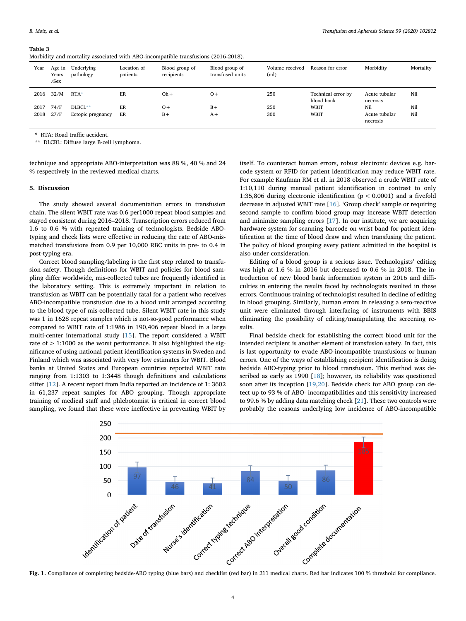#### <span id="page-3-0"></span>**Table 3**

|  |  |  |  |  |  |  |  | Morbidity and mortality associated with ABO-incompatible transfusions (2016-2018). |  |  |  |
|--|--|--|--|--|--|--|--|------------------------------------------------------------------------------------|--|--|--|
|--|--|--|--|--|--|--|--|------------------------------------------------------------------------------------|--|--|--|

| Year | Age in<br>Years<br>/Sex | Underlying<br>pathology | Location of<br>patients | Blood group of<br>recipients | Blood group of<br>transfused units | Volume received<br>(m <sub>l</sub> ) | Reason for error                 | Morbidity                 | Mortality |
|------|-------------------------|-------------------------|-------------------------|------------------------------|------------------------------------|--------------------------------------|----------------------------------|---------------------------|-----------|
| 2016 | 32/M                    | $RTA*$                  | ER                      | $Oh +$                       | $O +$                              | 250                                  | Technical error by<br>blood bank | Acute tubular<br>necrosis | Nil       |
| 2017 | 74/F                    | DLBCL**                 | ER                      | $O +$                        | $B +$                              | 250                                  | WBIT                             | Nil                       | Nil       |
| 2018 | 27/F                    | Ectopic pregnancy       | ER                      | $B +$                        | $A +$                              | 300                                  | WBIT                             | Acute tubular<br>necrosis | Nil       |

<span id="page-3-2"></span>\* RTA: Road traffic accident.

<span id="page-3-3"></span>\*\* DLCBL: Diffuse large B-cell lymphoma.

technique and appropriate ABO-interpretation was 88 %, 40 % and 24 % respectively in the reviewed medical charts.

#### **5. Discussion**

The study showed several documentation errors in transfusion chain. The silent WBIT rate was 0.6 per1000 repeat blood samples and stayed consistent during 2016–2018. Transcription errors reduced from 1.6 to 0.6 % with repeated training of technologists. Bedside ABOtyping and check lists were effective in reducing the rate of ABO-mismatched transfusions from 0.9 per 10,000 RBC units in pre- to 0.4 in post-typing era.

Correct blood sampling/labeling is the first step related to transfusion safety. Though definitions for WBIT and policies for blood sampling differ worldwide, mis-collected tubes are frequently identified in the laboratory setting. This is extremely important in relation to transfusion as WBIT can be potentially fatal for a patient who receives ABO-incompatible transfusion due to a blood unit arranged according to the blood type of mis-collected tube. Silent WBIT rate in this study was 1 in 1628 repeat samples which is not-so-good performance when compared to WBIT rate of 1:1986 in 190,406 repeat blood in a large multi-center international study [[15\]](#page-4-12). The report considered a WBIT rate of > 1:1000 as the worst performance. It also highlighted the significance of using national patient identification systems in Sweden and Finland which was associated with very low estimates for WBIT. Blood banks at United States and European countries reported WBIT rate ranging from 1:1303 to 1:3448 though definitions and calculations differ [\[12](#page-4-9)]. A recent report from India reported an incidence of 1: 3602 in 61,237 repeat samples for ABO grouping. Though appropriate training of medical staff and phlebotomist is critical in correct blood sampling, we found that these were ineffective in preventing WBIT by

itself. To counteract human errors, robust electronic devices e.g. barcode system or RFID for patient identification may reduce WBIT rate. For example Kaufman RM et al. in 2018 observed a crude WBIT rate of 1:10,110 during manual patient identification in contrast to only 1:35,806 during electronic identification (p < 0.0001) and a fivefold decrease in adjusted WBIT rate [\[16](#page-4-13)]. 'Group check' sample or requiring second sample to confirm blood group may increase WBIT detection and minimize sampling errors [\[17](#page-4-14)]. In our institute, we are acquiring hardware system for scanning barcode on wrist band for patient identification at the time of blood draw and when transfusing the patient. The policy of blood grouping every patient admitted in the hospital is also under consideration.

Editing of a blood group is a serious issue. Technologists' editing was high at 1.6 % in 2016 but decreased to 0.6 % in 2018. The introduction of new blood bank information system in 2016 and difficulties in entering the results faced by technologists resulted in these errors. Continuous training of technologist resulted in decline of editing in blood grouping. Similarly, human errors in releasing a sero-reactive unit were eliminated through interfacing of instruments with BBIS eliminating the possibility of editing/manipulating the screening results.

Final bedside check for establishing the correct blood unit for the intended recipient is another element of transfusion safety. In fact, this is last opportunity to evade ABO-incompatible transfusions or human errors. One of the ways of establishing recipient identification is doing bedside ABO-typing prior to blood transfusion. This method was de-scribed as early as 1990 [[18\]](#page-4-15); however, its reliability was questioned soon after its inception [\[19](#page-4-16)[,20](#page-4-17)]. Bedside check for ABO group can detect up to 93 % of ABO- incompatibilities and this sensitivity increased to 99.6 % by adding data matching check [\[21](#page-4-18)]. These two controls were probably the reasons underlying low incidence of ABO-incompatible

<span id="page-3-1"></span>

**Fig. 1.** Compliance of completing bedside-ABO typing (blue bars) and checklist (red bar) in 211 medical charts. Red bar indicates 100 % threshold for compliance.